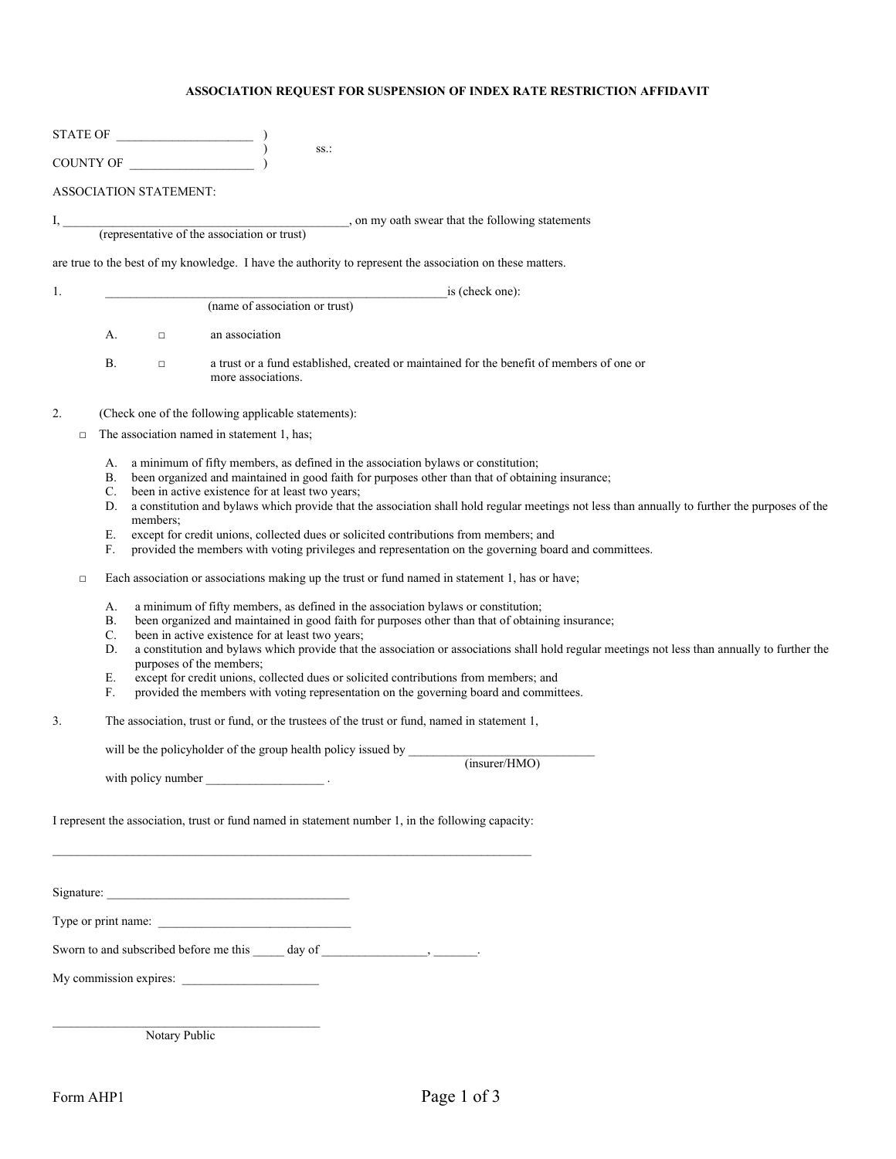## **ASSOCIATION REQUEST FOR SUSPENSION OF INDEX RATE RESTRICTION AFFIDAVIT**

|                |        |                                                                               |                               | STATE OF                                                                                                                                                                                                                                                                                                                                                                                                                                                                                                                                                                                                                                                                                                                                                                                                                                                                                                                                                                                                                                                                                                                                                                                                                                                                                                                                                                                                                                                                       |
|----------------|--------|-------------------------------------------------------------------------------|-------------------------------|--------------------------------------------------------------------------------------------------------------------------------------------------------------------------------------------------------------------------------------------------------------------------------------------------------------------------------------------------------------------------------------------------------------------------------------------------------------------------------------------------------------------------------------------------------------------------------------------------------------------------------------------------------------------------------------------------------------------------------------------------------------------------------------------------------------------------------------------------------------------------------------------------------------------------------------------------------------------------------------------------------------------------------------------------------------------------------------------------------------------------------------------------------------------------------------------------------------------------------------------------------------------------------------------------------------------------------------------------------------------------------------------------------------------------------------------------------------------------------|
|                |        |                                                                               | COUNTY OF                     | SS.:                                                                                                                                                                                                                                                                                                                                                                                                                                                                                                                                                                                                                                                                                                                                                                                                                                                                                                                                                                                                                                                                                                                                                                                                                                                                                                                                                                                                                                                                           |
|                |        |                                                                               | <b>ASSOCIATION STATEMENT:</b> |                                                                                                                                                                                                                                                                                                                                                                                                                                                                                                                                                                                                                                                                                                                                                                                                                                                                                                                                                                                                                                                                                                                                                                                                                                                                                                                                                                                                                                                                                |
| $I, \_\_$      |        |                                                                               |                               | _______, on my oath swear that the following statements<br>(representative of the association or trust)                                                                                                                                                                                                                                                                                                                                                                                                                                                                                                                                                                                                                                                                                                                                                                                                                                                                                                                                                                                                                                                                                                                                                                                                                                                                                                                                                                        |
|                |        |                                                                               |                               |                                                                                                                                                                                                                                                                                                                                                                                                                                                                                                                                                                                                                                                                                                                                                                                                                                                                                                                                                                                                                                                                                                                                                                                                                                                                                                                                                                                                                                                                                |
|                |        |                                                                               |                               | are true to the best of my knowledge. I have the authority to represent the association on these matters.                                                                                                                                                                                                                                                                                                                                                                                                                                                                                                                                                                                                                                                                                                                                                                                                                                                                                                                                                                                                                                                                                                                                                                                                                                                                                                                                                                      |
| 1.             |        |                                                                               |                               | is (check one):<br>(name of association or trust)                                                                                                                                                                                                                                                                                                                                                                                                                                                                                                                                                                                                                                                                                                                                                                                                                                                                                                                                                                                                                                                                                                                                                                                                                                                                                                                                                                                                                              |
|                |        |                                                                               |                               |                                                                                                                                                                                                                                                                                                                                                                                                                                                                                                                                                                                                                                                                                                                                                                                                                                                                                                                                                                                                                                                                                                                                                                                                                                                                                                                                                                                                                                                                                |
|                |        | А.                                                                            | $\Box$                        | an association                                                                                                                                                                                                                                                                                                                                                                                                                                                                                                                                                                                                                                                                                                                                                                                                                                                                                                                                                                                                                                                                                                                                                                                                                                                                                                                                                                                                                                                                 |
|                |        | В.                                                                            | $\Box$                        | a trust or a fund established, created or maintained for the benefit of members of one or<br>more associations.                                                                                                                                                                                                                                                                                                                                                                                                                                                                                                                                                                                                                                                                                                                                                                                                                                                                                                                                                                                                                                                                                                                                                                                                                                                                                                                                                                |
| 2.             |        |                                                                               |                               | (Check one of the following applicable statements):                                                                                                                                                                                                                                                                                                                                                                                                                                                                                                                                                                                                                                                                                                                                                                                                                                                                                                                                                                                                                                                                                                                                                                                                                                                                                                                                                                                                                            |
|                | $\Box$ |                                                                               |                               | The association named in statement 1, has:                                                                                                                                                                                                                                                                                                                                                                                                                                                                                                                                                                                                                                                                                                                                                                                                                                                                                                                                                                                                                                                                                                                                                                                                                                                                                                                                                                                                                                     |
| 3 <sub>1</sub> | $\Box$ | А.<br>В.<br>C.<br>D.<br>E.<br>F.<br>А.<br>В.<br>C.<br>D.<br>Е.<br>$F_{\cdot}$ | members;                      | a minimum of fifty members, as defined in the association bylaws or constitution;<br>been organized and maintained in good faith for purposes other than that of obtaining insurance;<br>been in active existence for at least two years;<br>a constitution and bylaws which provide that the association shall hold regular meetings not less than annually to further the purposes of the<br>except for credit unions, collected dues or solicited contributions from members; and<br>provided the members with voting privileges and representation on the governing board and committees.<br>Each association or associations making up the trust or fund named in statement 1, has or have;<br>a minimum of fifty members, as defined in the association bylaws or constitution;<br>been organized and maintained in good faith for purposes other than that of obtaining insurance;<br>been in active existence for at least two years;<br>a constitution and bylaws which provide that the association or associations shall hold regular meetings not less than annually to further the<br>purposes of the members;<br>except for credit unions, collected dues or solicited contributions from members; and<br>provided the members with voting representation on the governing board and committees.<br>The association, trust or fund, or the trustees of the trust or fund, named in statement 1,<br>will be the policyholder of the group health policy issued by |
|                |        |                                                                               |                               | (insurer/HMO)                                                                                                                                                                                                                                                                                                                                                                                                                                                                                                                                                                                                                                                                                                                                                                                                                                                                                                                                                                                                                                                                                                                                                                                                                                                                                                                                                                                                                                                                  |
|                |        |                                                                               |                               | with policy number<br>I represent the association, trust or fund named in statement number 1, in the following capacity:                                                                                                                                                                                                                                                                                                                                                                                                                                                                                                                                                                                                                                                                                                                                                                                                                                                                                                                                                                                                                                                                                                                                                                                                                                                                                                                                                       |
|                |        |                                                                               |                               | Signature:                                                                                                                                                                                                                                                                                                                                                                                                                                                                                                                                                                                                                                                                                                                                                                                                                                                                                                                                                                                                                                                                                                                                                                                                                                                                                                                                                                                                                                                                     |
|                |        |                                                                               |                               | Type or print name:                                                                                                                                                                                                                                                                                                                                                                                                                                                                                                                                                                                                                                                                                                                                                                                                                                                                                                                                                                                                                                                                                                                                                                                                                                                                                                                                                                                                                                                            |
|                |        |                                                                               |                               | Sworn to and subscribed before me this day of function of the state of the state of the state of the state of the state of the state of the state of the state of the state of the state of the state of the state of the stat                                                                                                                                                                                                                                                                                                                                                                                                                                                                                                                                                                                                                                                                                                                                                                                                                                                                                                                                                                                                                                                                                                                                                                                                                                                 |
|                |        |                                                                               |                               | My commission expires:                                                                                                                                                                                                                                                                                                                                                                                                                                                                                                                                                                                                                                                                                                                                                                                                                                                                                                                                                                                                                                                                                                                                                                                                                                                                                                                                                                                                                                                         |
|                |        |                                                                               |                               |                                                                                                                                                                                                                                                                                                                                                                                                                                                                                                                                                                                                                                                                                                                                                                                                                                                                                                                                                                                                                                                                                                                                                                                                                                                                                                                                                                                                                                                                                |

Notary Public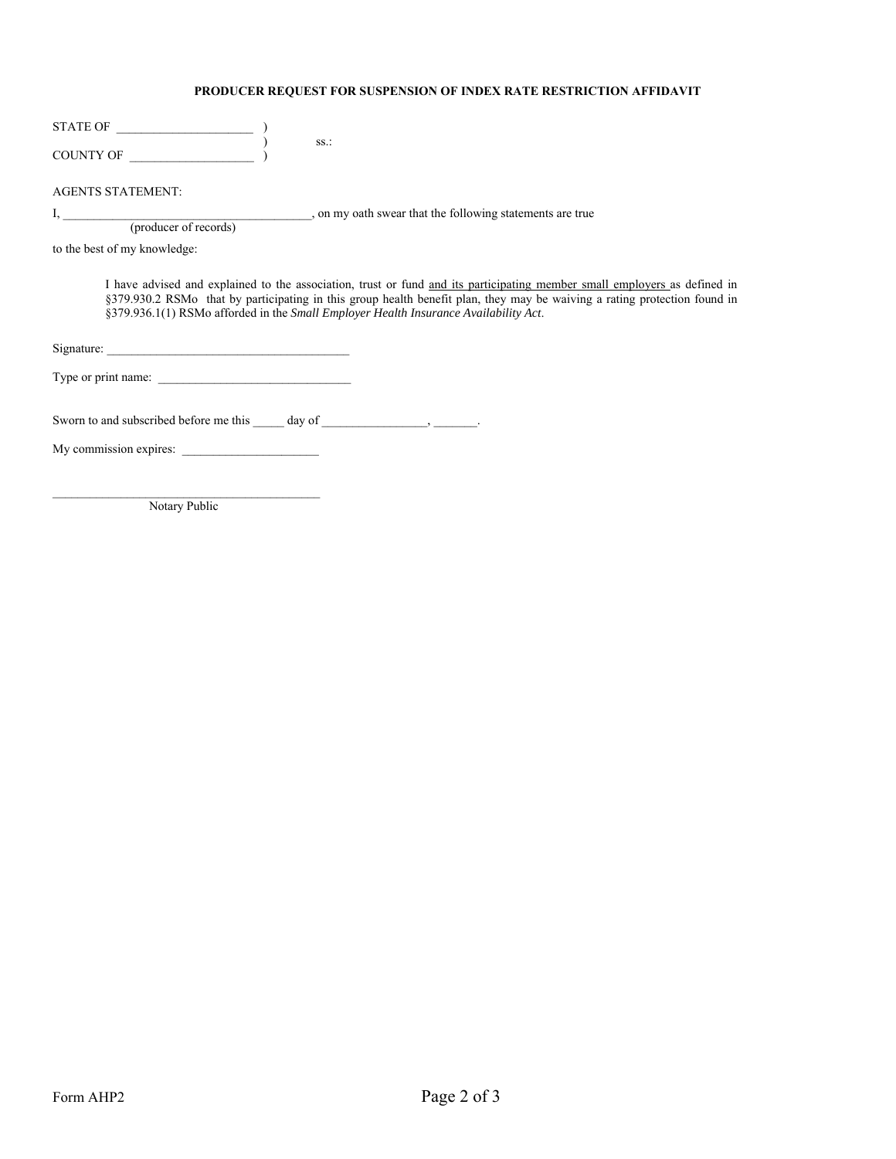## **PRODUCER REQUEST FOR SUSPENSION OF INDEX RATE RESTRICTION AFFIDAVIT**

| <b>STATE OF</b>  |  |
|------------------|--|
|                  |  |
| <b>COUNTY OF</b> |  |

(producer of records)

AGENTS STATEMENT:

I, \_\_\_\_\_\_\_\_\_\_\_\_\_\_\_\_\_\_\_\_\_\_\_\_\_\_\_\_\_\_\_\_\_\_\_\_\_\_\_\_, on my oath swear that the following statements are true

to the best of my knowledge:

I have advised and explained to the association, trust or fund and its participating member small employers as defined in §379.930.2 RSMo that by participating in this group health benefit plan, they may be waiving a rating protection found in §379.936.1(1) RSMo afforded in the *Small Employer Health Insurance Availability Act*.

Signature: \_\_\_\_\_\_\_\_\_\_\_\_\_\_\_\_\_\_\_\_\_\_\_\_\_\_\_\_\_\_\_\_\_\_\_\_\_\_\_

Type or print name: \_\_\_\_\_\_\_\_\_\_\_\_\_\_\_\_\_\_\_\_\_\_\_\_\_\_\_\_\_\_\_

Sworn to and subscribed before me this \_\_\_\_\_ day of \_\_\_\_\_\_\_\_\_\_\_\_\_\_, \_\_\_\_\_\_\_.

My commission expires: \_\_\_\_\_\_\_\_\_\_\_\_\_\_\_\_\_\_\_\_\_\_

Notary Public